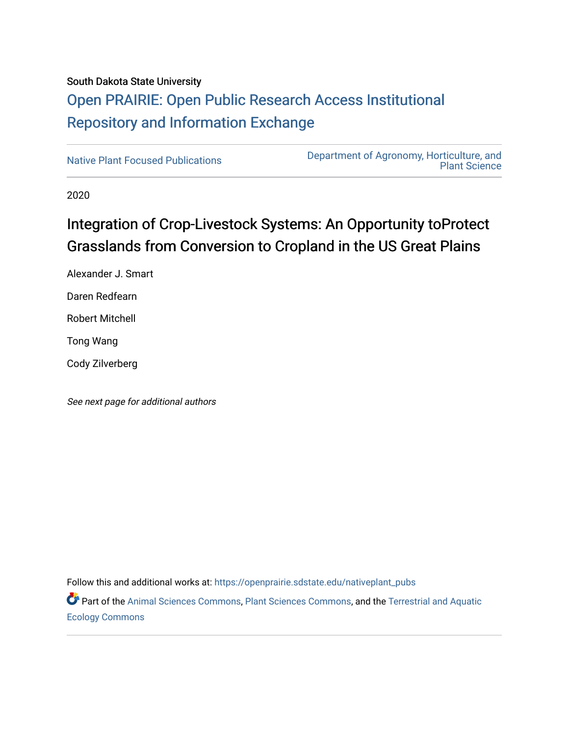# South Dakota State University [Open PRAIRIE: Open Public Research Access Institutional](https://openprairie.sdstate.edu/)  [Repository and Information Exchange](https://openprairie.sdstate.edu/)

[Native Plant Focused Publications](https://openprairie.sdstate.edu/nativeplant_pubs) [Department of Agronomy, Horticulture, and](https://openprairie.sdstate.edu/plant)  [Plant Science](https://openprairie.sdstate.edu/plant) 

2020

# Integration of Crop-Livestock Systems: An Opportunity toProtect Grasslands from Conversion to Cropland in the US Great Plains

Alexander J. Smart Daren Redfearn Robert Mitchell

Tong Wang

Cody Zilverberg

See next page for additional authors

Follow this and additional works at: [https://openprairie.sdstate.edu/nativeplant\\_pubs](https://openprairie.sdstate.edu/nativeplant_pubs?utm_source=openprairie.sdstate.edu%2Fnativeplant_pubs%2F8&utm_medium=PDF&utm_campaign=PDFCoverPages) 

Part of the [Animal Sciences Commons,](http://network.bepress.com/hgg/discipline/76?utm_source=openprairie.sdstate.edu%2Fnativeplant_pubs%2F8&utm_medium=PDF&utm_campaign=PDFCoverPages) [Plant Sciences Commons](http://network.bepress.com/hgg/discipline/102?utm_source=openprairie.sdstate.edu%2Fnativeplant_pubs%2F8&utm_medium=PDF&utm_campaign=PDFCoverPages), and the [Terrestrial and Aquatic](http://network.bepress.com/hgg/discipline/20?utm_source=openprairie.sdstate.edu%2Fnativeplant_pubs%2F8&utm_medium=PDF&utm_campaign=PDFCoverPages)  [Ecology Commons](http://network.bepress.com/hgg/discipline/20?utm_source=openprairie.sdstate.edu%2Fnativeplant_pubs%2F8&utm_medium=PDF&utm_campaign=PDFCoverPages)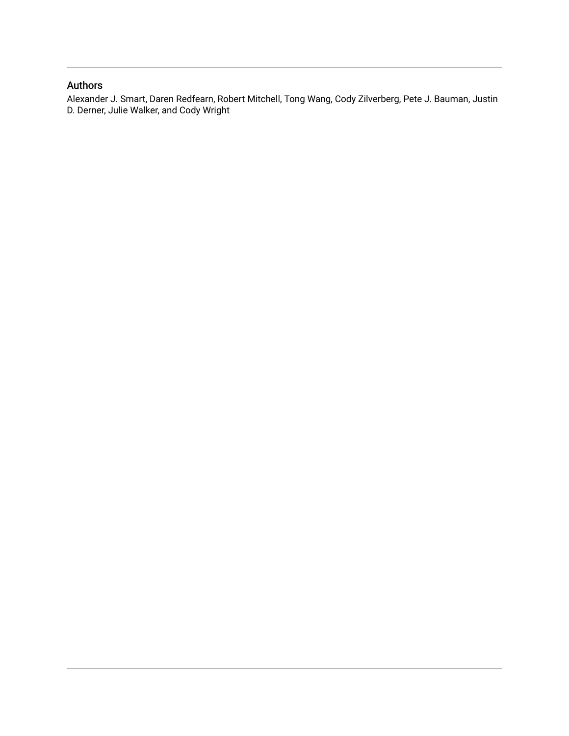### Authors

Alexander J. Smart, Daren Redfearn, Robert Mitchell, Tong Wang, Cody Zilverberg, Pete J. Bauman, Justin D. Derner, Julie Walker, and Cody Wright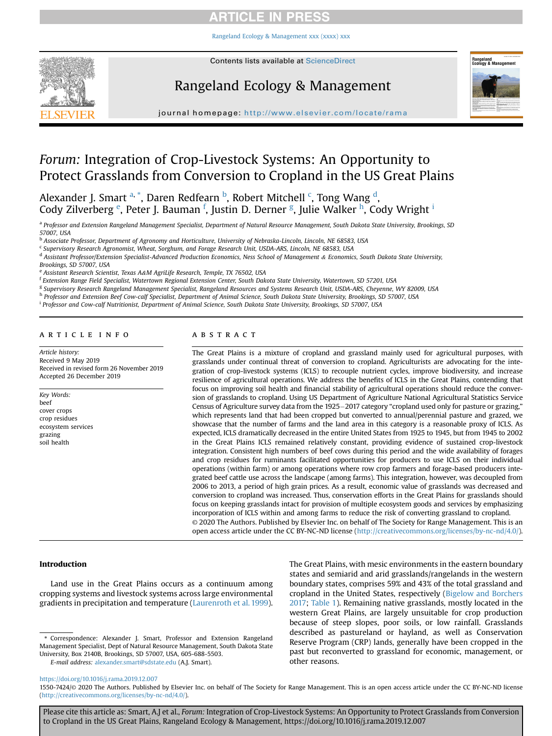[Rangeland Ecology & Management xxx \(xxxx\) xxx](https://doi.org/10.1016/j.rama.2019.12.007)



## Rangeland Ecology & Management



journal homepage: <http://www.elsevier.com/locate/rama>

### Forum: Integration of Crop-Livestock Systems: An Opportunity to Protect Grasslands from Conversion to Cropland in the US Great Plains

Alexander J. Smart <sup>a, \*</sup>, Daren Redfearn <sup>b</sup>, Robert Mitchell <sup>c</sup>, Tong Wang <sup>d</sup>, Cody Zilverberg <sup>e</sup>, Peter J. Bauman <sup>f</sup>, Justin D. Derner <sup>g</sup>, Julie Walker <sup>h</sup>, Cody Wright <sup>i</sup>

a Professor and Extension Rangeland Management Specialist, Department of Natural Resource Management, South Dakota State University, Brookings, SD 57007, USA

<sup>b</sup> Associate Professor, Department of Agronomy and Horticulture, University of Nebraska-Lincoln, Lincoln, NE 68583, USA

<sup>c</sup> Supervisory Research Agronomist, Wheat, Sorghum, and Forage Research Unit, USDA-ARS, Lincoln, NE 68583, USA

<sup>d</sup> Assistant Professor/Extension Specialist-Advanced Production Economics, Ness School of Management & Economics, South Dakota State University,

Brookings, SD 57007, USA

<sup>e</sup> Assistant Research Scientist, Texas A&M AgriLife Research, Temple, TX 76502, USA

<sup>f</sup> Extension Range Field Specialist, Watertown Regional Extension Center, South Dakota State University, Watertown, SD 57201, USA

<sup>g</sup> Supervisory Research Rangeland Management Specialist, Rangeland Resources and Systems Research Unit, USDA-ARS, Cheyenne, WY 82009, USA

h Professor and Extension Beef Cow-calf Specialist, Department of Animal Science, South Dakota State University, Brookings, SD 57007, USA

<sup>i</sup> Professor and Cow-calf Nutritionist, Department of Animal Science, South Dakota State University, Brookings, SD 57007, USA

#### article info

Article history: Received 9 May 2019 Received in revised form 26 November 2019 Accepted 26 December 2019

Key Words: beef cover crops crop residues ecosystem services grazing soil health

#### **ABSTRACT**

The Great Plains is a mixture of cropland and grassland mainly used for agricultural purposes, with grasslands under continual threat of conversion to cropland. Agriculturists are advocating for the integration of crop-livestock systems (ICLS) to recouple nutrient cycles, improve biodiversity, and increase resilience of agricultural operations. We address the benefits of ICLS in the Great Plains, contending that focus on improving soil health and financial stability of agricultural operations should reduce the conversion of grasslands to cropland. Using US Department of Agriculture National Agricultural Statistics Service Census of Agriculture survey data from the 1925-2017 category "cropland used only for pasture or grazing," which represents land that had been cropped but converted to annual/perennial pasture and grazed, we showcase that the number of farms and the land area in this category is a reasonable proxy of ICLS. As expected, ICLS dramatically decreased in the entire United States from 1925 to 1945, but from 1945 to 2002 in the Great Plains ICLS remained relatively constant, providing evidence of sustained crop-livestock integration. Consistent high numbers of beef cows during this period and the wide availability of forages and crop residues for ruminants facilitated opportunities for producers to use ICLS on their individual operations (within farm) or among operations where row crop farmers and forage-based producers integrated beef cattle use across the landscape (among farms). This integration, however, was decoupled from 2006 to 2013, a period of high grain prices. As a result, economic value of grasslands was decreased and conversion to cropland was increased. Thus, conservation efforts in the Great Plains for grasslands should focus on keeping grasslands intact for provision of multiple ecosystem goods and services by emphasizing incorporation of ICLS within and among farms to reduce the risk of converting grassland to cropland. © 2020 The Authors. Published by Elsevier Inc. on behalf of The Society for Range Management. This is an open access article under the CC BY-NC-ND license [\(http://creativecommons.org/licenses/by-nc-nd/4.0/](http://creativecommons.org/licenses/by-nc-nd/4.0/)).

Introduction

Land use in the Great Plains occurs as a continuum among cropping systems and livestock systems across large environmental gradients in precipitation and temperature [\(Laurenroth et al. 1999\)](#page-8-0).

\* Correspondence: Alexander J. Smart, Professor and Extension Rangeland Management Specialist, Dept of Natural Resource Management, South Dakota State University, Box 2140B, Brookings, SD 57007, USA, 605-688-5503.

E-mail address: [alexander.smart@sdstate.edu](mailto:alexander.smart@sdstate.edu) (A.J. Smart).

The Great Plains, with mesic environments in the eastern boundary states and semiarid and arid grasslands/rangelands in the western boundary states, comprises 59% and 43% of the total grassland and cropland in the United States, respectively ([Bigelow and Borchers](#page-7-0) [2017](#page-7-0); [Table 1\)](#page-3-0). Remaining native grasslands, mostly located in the western Great Plains, are largely unsuitable for crop production because of steep slopes, poor soils, or low rainfall. Grasslands described as pastureland or hayland, as well as Conservation Reserve Program (CRP) lands, generally have been cropped in the past but reconverted to grassland for economic, management, or other reasons.

<https://doi.org/10.1016/j.rama.2019.12.007>

1550-7424/© 2020 The Authors. Published by Elsevier Inc. on behalf of The Society for Range Management. This is an open access article under the CC BY-NC-ND license (<http://creativecommons.org/licenses/by-nc-nd/4.0/>).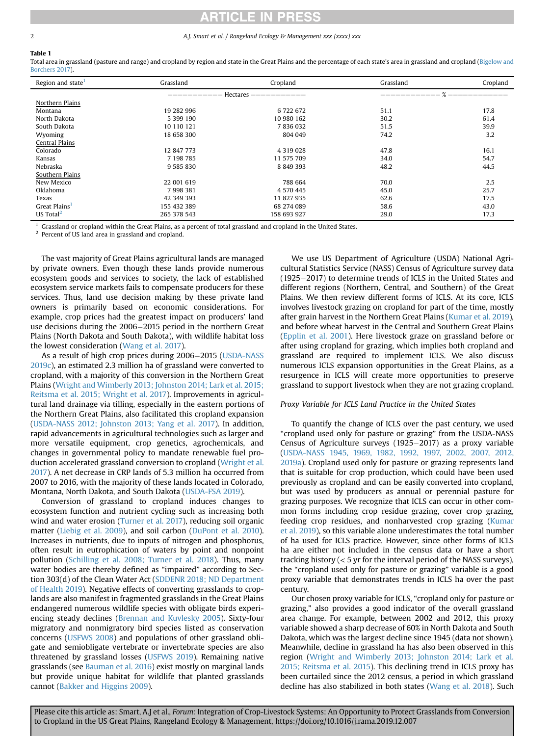#### <span id="page-3-0"></span>2 2 A.J. Smart et al. / Rangeland Ecology & Management xxx (xxxx) xxx

### Table 1

Total area in grassland (pasture and range) and cropland by region and state in the Great Plains and the percentage of each state's area in grassland and cropland [\(Bigelow and](#page-7-0) [Borchers 2017\)](#page-7-0).

| Region and state <sup>1</sup> | Grassland   | Cropland      | Grassland | Cropland |
|-------------------------------|-------------|---------------|-----------|----------|
|                               | Hectares    |               |           |          |
| Northern Plains               |             |               |           |          |
| Montana                       | 19 282 996  | 6722672       | 51.1      | 17.8     |
| North Dakota                  | 5 399 190   | 10 980 162    | 30.2      | 61.4     |
| South Dakota                  | 10 110 121  | 7836032       | 51.5      | 39.9     |
| Wyoming                       | 18 658 300  | 804 049       | 74.2      | 3.2      |
| Central Plains                |             |               |           |          |
| Colorado                      | 12 847 773  | 4 3 1 9 0 2 8 | 47.8      | 16.1     |
| Kansas                        | 7 198 785   | 11 575 709    | 34.0      | 54.7     |
| Nebraska                      | 9 585 830   | 8 8 4 9 3 9 3 | 48.2      | 44.5     |
| Southern Plains               |             |               |           |          |
| New Mexico                    | 22 001 619  | 788 664       | 70.0      | 2.5      |
| Oklahoma                      | 7998381     | 4 570 445     | 45.0      | 25.7     |
| Texas                         | 42 349 393  | 11 827 935    | 62.6      | 17.5     |
| Great Plains <sup>1</sup>     | 155 432 389 | 68 274 089    | 58.6      | 43.0     |
| US Total <sup>2</sup>         | 265 378 543 | 158 693 927   | 29.0      | 17.3     |

<sup>1</sup> Grassland or cropland within the Great Plains, as a percent of total grassland and cropland in the United States.

<sup>2</sup> Percent of US land area in grassland and cropland.

The vast majority of Great Plains agricultural lands are managed by private owners. Even though these lands provide numerous ecosystem goods and services to society, the lack of established ecosystem service markets fails to compensate producers for these services. Thus, land use decision making by these private land owners is primarily based on economic considerations. For example, crop prices had the greatest impact on producers' land use decisions during the 2006-2015 period in the northern Great Plains (North Dakota and South Dakota), with wildlife habitat loss the lowest consideration ([Wang et al. 2017](#page-8-0)).

As a result of high crop prices during 2006–2015 [\(USDA-NASS](#page-8-0) [2019c\)](#page-8-0), an estimated 2.3 million ha of grassland were converted to cropland, with a majority of this conversion in the Northern Great Plains [\(Wright and Wimberly 2013; Johnston 2014; Lark et al. 2015;](#page-8-0) [Reitsma et al. 2015; Wright et al. 2017](#page-8-0)). Improvements in agricultural land drainage via tilling, especially in the eastern portions of the Northern Great Plains, also facilitated this cropland expansion ([USDA-NASS 2012; Johnston 2013; Yang et al. 2017](#page-8-0)). In addition, rapid advancements in agricultural technologies such as larger and more versatile equipment, crop genetics, agrochemicals, and changes in governmental policy to mandate renewable fuel production accelerated grassland conversion to cropland [\(Wright et al.](#page-8-0) [2017\)](#page-8-0). A net decrease in CRP lands of 5.3 million ha occurred from 2007 to 2016, with the majority of these lands located in Colorado, Montana, North Dakota, and South Dakota [\(USDA-FSA 2019](#page-8-0)).

Conversion of grassland to cropland induces changes to ecosystem function and nutrient cycling such as increasing both wind and water erosion ([Turner et al. 2017\)](#page-8-0), reducing soil organic matter ([Liebig et al. 2009](#page-8-0)), and soil carbon ([DuPont et al. 2010\)](#page-7-0). Increases in nutrients, due to inputs of nitrogen and phosphorus, often result in eutrophication of waters by point and nonpoint pollution [\(Schilling et al. 2008; Turner et al. 2018](#page-8-0)). Thus, many water bodies are thereby defined as "impaired" according to Section 303(d) of the Clean Water Act [\(SDDENR 2018; ND Department](#page-8-0) [of Health 2019\)](#page-8-0). Negative effects of converting grasslands to croplands are also manifest in fragmented grasslands in the Great Plains endangered numerous wildlife species with obligate birds experiencing steady declines [\(Brennan and Kuvlesky 2005\)](#page-7-0). Sixty-four migratory and nonmigratory bird species listed as conservation concerns ([USFWS 2008](#page-8-0)) and populations of other grassland obligate and semiobligate vertebrate or invertebrate species are also threatened by grassland losses ([USFWS 2019\)](#page-8-0). Remaining native grasslands (see [Bauman et al. 2016](#page-7-0)) exist mostly on marginal lands but provide unique habitat for wildlife that planted grasslands cannot [\(Bakker and Higgins 2009](#page-7-0)).

We use US Department of Agriculture (USDA) National Agricultural Statistics Service (NASS) Census of Agriculture survey data  $(1925-2017)$  to determine trends of ICLS in the United States and different regions (Northern, Central, and Southern) of the Great Plains. We then review different forms of ICLS. At its core, ICLS involves livestock grazing on cropland for part of the time, mostly after grain harvest in the Northern Great Plains ([Kumar et al. 2019\)](#page-7-0), and before wheat harvest in the Central and Southern Great Plains ([Epplin et al. 2001\)](#page-7-0). Here livestock graze on grassland before or after using cropland for grazing, which implies both cropland and grassland are required to implement ICLS. We also discuss numerous ICLS expansion opportunities in the Great Plains, as a resurgence in ICLS will create more opportunities to preserve grassland to support livestock when they are not grazing cropland.

#### Proxy Variable for ICLS Land Practice in the United States

To quantify the change of ICLS over the past century, we used "cropland used only for pasture or grazing" from the USDA-NASS Census of Agriculture surveys  $(1925-2017)$  as a proxy variable ([USDA-NASS 1945, 1969, 1982, 1992, 1997, 2002, 2007, 2012,](#page-8-0) [2019a](#page-8-0)). Cropland used only for pasture or grazing represents land that is suitable for crop production, which could have been used previously as cropland and can be easily converted into cropland, but was used by producers as annual or perennial pasture for grazing purposes. We recognize that ICLS can occur in other common forms including crop residue grazing, cover crop grazing, feeding crop residues, and nonharvested crop grazing ([Kumar](#page-7-0) [et al. 2019](#page-7-0)), so this variable alone underestimates the total number of ha used for ICLS practice. However, since other forms of ICLS ha are either not included in the census data or have a short tracking history (< 5 yr for the interval period of the NASS surveys), the "cropland used only for pasture or grazing" variable is a good proxy variable that demonstrates trends in ICLS ha over the past century.

Our chosen proxy variable for ICLS, "cropland only for pasture or grazing," also provides a good indicator of the overall grassland area change. For example, between 2002 and 2012, this proxy variable showed a sharp decrease of 60% in North Dakota and South Dakota, which was the largest decline since 1945 (data not shown). Meanwhile, decline in grassland ha has also been observed in this region [\(Wright and Wimberly 2013; Johnston 2014; Lark et al.](#page-8-0) [2015; Reitsma et al. 2015\)](#page-8-0). This declining trend in ICLS proxy has been curtailed since the 2012 census, a period in which grassland decline has also stabilized in both states ([Wang et al. 2018\)](#page-8-0). Such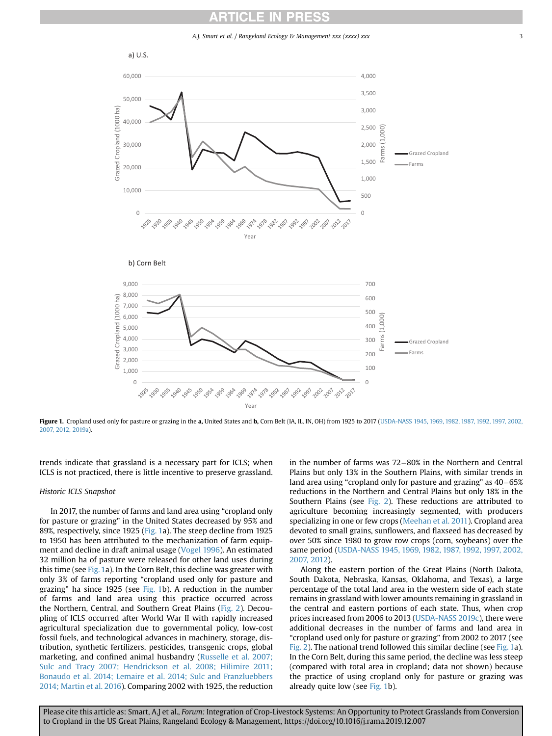A.J. Smart et al. / Rangeland Ecology & Management xxx (xxxx) xxx 33



Figure 1. Cropland used only for pasture or grazing in the a, United States and b, Corn Belt (IA, IL, IN, OH) from 1925 to 2017 [\(USDA-NASS 1945, 1969, 1982, 1987, 1992, 1997, 2002,](#page-8-0) [2007, 2012, 2019a](#page-8-0)).

trends indicate that grassland is a necessary part for ICLS; when ICLS is not practiced, there is little incentive to preserve grassland.

#### Historic ICLS Snapshot

In 2017, the number of farms and land area using "cropland only for pasture or grazing" in the United States decreased by 95% and 89%, respectively, since 1925 (Fig. 1a). The steep decline from 1925 to 1950 has been attributed to the mechanization of farm equipment and decline in draft animal usage ([Vogel 1996\)](#page-8-0). An estimated 32 million ha of pasture were released for other land uses during this time (see Fig. 1a). In the Corn Belt, this decline was greater with only 3% of farms reporting "cropland used only for pasture and grazing" ha since 1925 (see Fig. 1b). A reduction in the number of farms and land area using this practice occurred across the Northern, Central, and Southern Great Plains ([Fig. 2](#page-5-0)). Decoupling of ICLS occurred after World War II with rapidly increased agricultural specialization due to governmental policy, low-cost fossil fuels, and technological advances in machinery, storage, distribution, synthetic fertilizers, pesticides, transgenic crops, global marketing, and confined animal husbandry [\(Russelle et al. 2007;](#page-8-0) [Sulc and Tracy 2007; Hendrickson et al. 2008; Hilimire 2011;](#page-8-0) [Bonaudo et al. 2014; Lemaire et al. 2014; Sulc and Franzluebbers](#page-8-0) [2014; Martin et al. 2016\)](#page-8-0). Comparing 2002 with 1925, the reduction in the number of farms was  $72-80%$  in the Northern and Central Plains but only 13% in the Southern Plains, with similar trends in land area using "cropland only for pasture and grazing" as  $40-65%$ reductions in the Northern and Central Plains but only 18% in the Southern Plains (see [Fig. 2\)](#page-5-0). These reductions are attributed to agriculture becoming increasingly segmented, with producers specializing in one or few crops ([Meehan et al. 2011](#page-8-0)). Cropland area devoted to small grains, sunflowers, and flaxseed has decreased by over 50% since 1980 to grow row crops (corn, soybeans) over the same period [\(USDA-NASS 1945, 1969, 1982, 1987, 1992, 1997, 2002,](#page-8-0) [2007, 2012\)](#page-8-0).

Along the eastern portion of the Great Plains (North Dakota, South Dakota, Nebraska, Kansas, Oklahoma, and Texas), a large percentage of the total land area in the western side of each state remains in grassland with lower amounts remaining in grassland in the central and eastern portions of each state. Thus, when crop prices increased from 2006 to 2013 [\(USDA-NASS 2019c](#page-8-0)), there were additional decreases in the number of farms and land area in "cropland used only for pasture or grazing" from 2002 to 2017 (see [Fig. 2](#page-5-0)). The national trend followed this similar decline (see Fig. 1a). In the Corn Belt, during this same period, the decline was less steep (compared with total area in cropland; data not shown) because the practice of using cropland only for pasture or grazing was already quite low (see Fig. 1b).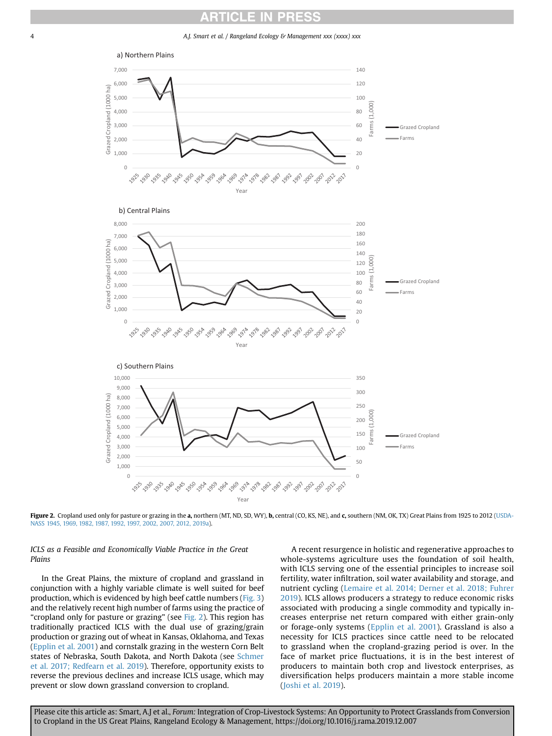<span id="page-5-0"></span>4 A.J. Smart et al. / Rangeland Ecology & Management xxx (xxxx) xxx



3,000 100 Farms 2,000 50 1,000 0  $\overline{0}$ 2014 1978 1992 1997 1987 7002-001 2022 2011 Year

Figure 2. Cropland used only for pasture or grazing in the a, northern (MT, ND, SD, WY), b, central (CO, KS, NE), and c, southern (NM, OK, TX) Great Plains from 1925 to 2012 ([USDA-](#page-8-0)[NASS 1945, 1969, 1982, 1987, 1992, 1997, 2002, 2007, 2012, 2019a\)](#page-8-0).

ICLS as a Feasible and Economically Viable Practice in the Great Plains

In the Great Plains, the mixture of cropland and grassland in conjunction with a highly variable climate is well suited for beef production, which is evidenced by high beef cattle numbers [\(Fig. 3\)](#page-6-0) and the relatively recent high number of farms using the practice of "cropland only for pasture or grazing" (see Fig. 2). This region has traditionally practiced ICLS with the dual use of grazing/grain production or grazing out of wheat in Kansas, Oklahoma, and Texas ([Epplin et al. 2001](#page-7-0)) and cornstalk grazing in the western Corn Belt states of Nebraska, South Dakota, and North Dakota (see [Schmer](#page-8-0) [et al. 2017; Redfearn et al. 2019\)](#page-8-0). Therefore, opportunity exists to reverse the previous declines and increase ICLS usage, which may prevent or slow down grassland conversion to cropland.

A recent resurgence in holistic and regenerative approaches to whole-systems agriculture uses the foundation of soil health, with ICLS serving one of the essential principles to increase soil fertility, water infiltration, soil water availability and storage, and nutrient cycling ([Lemaire et al. 2014; Derner et al. 2018; Fuhrer](#page-8-0) [2019\)](#page-8-0). ICLS allows producers a strategy to reduce economic risks associated with producing a single commodity and typically increases enterprise net return compared with either grain-only or forage-only systems ([Epplin et al. 2001](#page-7-0)). Grassland is also a necessity for ICLS practices since cattle need to be relocated to grassland when the cropland-grazing period is over. In the face of market price fluctuations, it is in the best interest of producers to maintain both crop and livestock enterprises, as diversification helps producers maintain a more stable income ([Joshi et al. 2019](#page-7-0)).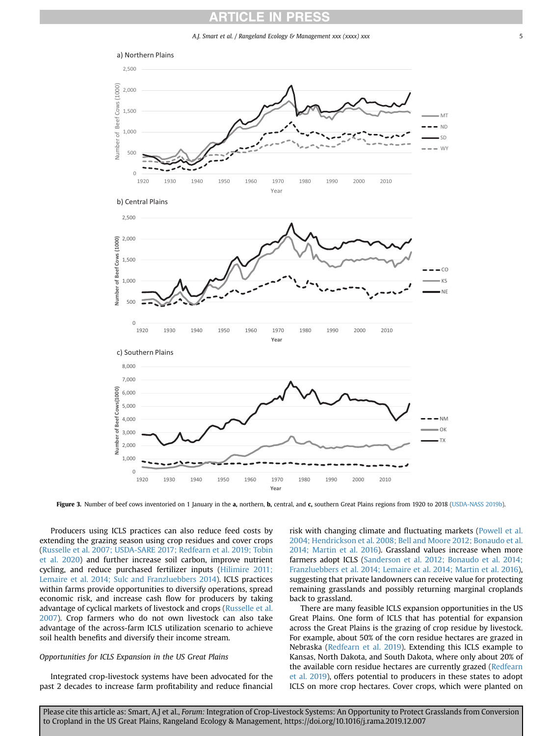**ARTICLE IN PRESS** 

A.J. Smart et al. / Rangeland Ecology & Management xxx (xxxx) xxx 5

<span id="page-6-0"></span>

Figure 3. Number of beef cows inventoried on 1 January in the a, northern, b, central, and c, southern Great Plains regions from 1920 to 2018 [\(USDA-NASS 2019b](#page-8-0)).

Producers using ICLS practices can also reduce feed costs by extending the grazing season using crop residues and cover crops ([Russelle et al. 2007; USDA-SARE 2017; Redfearn et al. 2019; Tobin](#page-8-0) [et al. 2020\)](#page-8-0) and further increase soil carbon, improve nutrient cycling, and reduce purchased fertilizer inputs [\(Hilimire 2011;](#page-7-0) [Lemaire et al. 2014; Sulc and Franzluebbers 2014\)](#page-7-0). ICLS practices within farms provide opportunities to diversify operations, spread economic risk, and increase cash flow for producers by taking advantage of cyclical markets of livestock and crops ([Russelle et al.](#page-8-0) [2007\)](#page-8-0). Crop farmers who do not own livestock can also take advantage of the across-farm ICLS utilization scenario to achieve soil health benefits and diversify their income stream.

#### Opportunities for ICLS Expansion in the US Great Plains

Integrated crop-livestock systems have been advocated for the past 2 decades to increase farm profitability and reduce financial risk with changing climate and fluctuating markets [\(Powell et al.](#page-8-0) [2004; Hendrickson et al. 2008; Bell and Moore 2012; Bonaudo et al.](#page-8-0) [2014; Martin et al. 2016\)](#page-8-0). Grassland values increase when more farmers adopt ICLS ([Sanderson et al. 2012; Bonaudo et al. 2014;](#page-8-0) [Franzluebbers et al. 2014; Lemaire et al. 2014; Martin et al. 2016\)](#page-8-0), suggesting that private landowners can receive value for protecting remaining grasslands and possibly returning marginal croplands back to grassland.

There are many feasible ICLS expansion opportunities in the US Great Plains. One form of ICLS that has potential for expansion across the Great Plains is the grazing of crop residue by livestock. For example, about 50% of the corn residue hectares are grazed in Nebraska [\(Redfearn et al. 2019\)](#page-8-0). Extending this ICLS example to Kansas, North Dakota, and South Dakota, where only about 20% of the available corn residue hectares are currently grazed ([Redfearn](#page-8-0) [et al. 2019\)](#page-8-0), offers potential to producers in these states to adopt ICLS on more crop hectares. Cover crops, which were planted on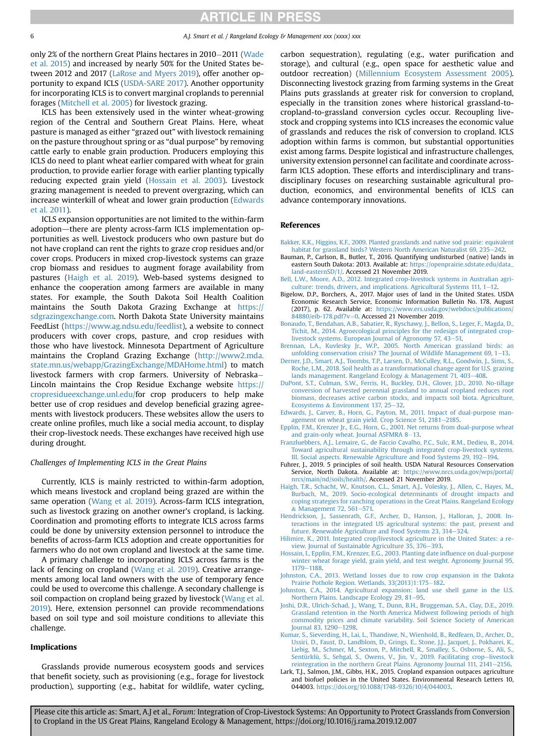<span id="page-7-0"></span>only 2% of the northern Great Plains hectares in 2010-2011 [\(Wade](#page-8-0) [et al. 2015](#page-8-0)) and increased by nearly 50% for the United States between 2012 and 2017 ([LaRose and Myers 2019\)](#page-8-0), offer another opportunity to expand ICLS [\(USDA-SARE 2017\)](#page-8-0). Another opportunity for incorporating ICLS is to convert marginal croplands to perennial forages [\(Mitchell et al. 2005](#page-8-0)) for livestock grazing.

ICLS has been extensively used in the winter wheat-growing region of the Central and Southern Great Plains. Here, wheat pasture is managed as either "grazed out" with livestock remaining on the pasture throughout spring or as "dual purpose" by removing cattle early to enable grain production. Producers employing this ICLS do need to plant wheat earlier compared with wheat for grain production, to provide earlier forage with earlier planting typically reducing expected grain yield (Hossain et al. 2003). Livestock grazing management is needed to prevent overgrazing, which can increase winterkill of wheat and lower grain production (Edwards et al. 2011).

ICLS expansion opportunities are not limited to the within-farm adoption—there are plenty across-farm ICLS implementation opportunities as well. Livestock producers who own pasture but do not have cropland can rent the rights to graze crop residues and/or cover crops. Producers in mixed crop-livestock systems can graze crop biomass and residues to augment forage availability from pastures (Haigh et al. 2019). Web-based systems designed to enhance the cooperation among farmers are available in many states. For example, the South Dakota Soil Health Coalition maintains the South Dakota Grazing Exchange at [https://](https://sdgrazingexchange.com) [sdgrazingexchange.com.](https://sdgrazingexchange.com) North Dakota State University maintains FeedList (<https://www.ag.ndsu.edu/feedlist>), a website to connect producers with cover crops, pasture, and crop residues with those who have livestock. Minnesota Department of Agriculture maintains the Cropland Grazing Exchange ([http://www2.mda.](http://www2.mda.state.mn.us/webapp/GrazingExchange/MDAHome.html) [state.mn.us/webapp/GrazingExchange/MDAHome.html\)](http://www2.mda.state.mn.us/webapp/GrazingExchange/MDAHome.html) to match livestock farmers with crop farmers. University of Nebraska Lincoln maintains the Crop Residue Exchange website [https://](https://cropresidueexchange.unl.edu/) [cropresidueexchange.unl.edu/f](https://cropresidueexchange.unl.edu/)or crop producers to help make better use of crop residues and develop beneficial grazing agreements with livestock producers. These websites allow the users to create online profiles, much like a social media account, to display their crop-livestock needs. These exchanges have received high use during drought.

#### Challenges of Implementing ICLS in the Great Plains

Currently, ICLS is mainly restricted to within-farm adoption, which means livestock and cropland being grazed are within the same operation [\(Wang et al. 2019](#page-8-0)). Across-farm ICLS integration, such as livestock grazing on another owner's cropland, is lacking. Coordination and promoting efforts to integrate ICLS across farms could be done by university extension personnel to introduce the benefits of across-farm ICLS adoption and create opportunities for farmers who do not own cropland and livestock at the same time.

A primary challenge to incorporating ICLS across farms is the lack of fencing on cropland [\(Wang et al. 2019\)](#page-8-0). Creative arrangements among local land owners with the use of temporary fence could be used to overcome this challenge. A secondary challenge is soil compaction on cropland being grazed by livestock ([Wang et al.](#page-8-0) [2019](#page-8-0)). Here, extension personnel can provide recommendations based on soil type and soil moisture conditions to alleviate this challenge.

#### Implications

Grasslands provide numerous ecosystem goods and services that benefit society, such as provisioning (e.g., forage for livestock production), supporting (e.g., habitat for wildlife, water cycling, carbon sequestration), regulating (e.g., water purification and storage), and cultural (e.g., open space for aesthetic value and outdoor recreation) [\(Millennium Ecosystem Assessment 2005\)](#page-8-0). Disconnecting livestock grazing from farming systems in the Great Plains puts grasslands at greater risk for conversion to cropland, especially in the transition zones where historical grassland-tocropland-to-grassland conversion cycles occur. Recoupling livestock and cropping systems into ICLS increases the economic value of grasslands and reduces the risk of conversion to cropland. ICLS adoption within farms is common, but substantial opportunities exist among farms. Despite logistical and infrastructure challenges, university extension personnel can facilitate and coordinate acrossfarm ICLS adoption. These efforts and interdisciplinary and transdisciplinary focuses on researching sustainable agricultural production, economics, and environmental benefits of ICLS can advance contemporary innovations.

#### References

- [Bakker, K.K., Higgins, K.F., 2009. Planted grasslands and native sod prairie: equivalent](http://refhub.elsevier.com/S1550-7424(19)30118-6/sref1) [habitat for grassland birds? Western North American Naturalist 69, 235](http://refhub.elsevier.com/S1550-7424(19)30118-6/sref1)
- Bauman, P., Carlson, B., Butler, T., 2016. Quantifying undisturbed (native) lands in eastern South Dakota: 2013. Available at: [https://openprairie.sdstate.edu/data\\_](https://openprairie.sdstate.edu/data_land-easternSD/1/) [land-easternSD/1/](https://openprairie.sdstate.edu/data_land-easternSD/1/). Accessed 21 November 2019.
- [Bell, L.W., Moore, A.D., 2012. Integrated crop-livestock systems in Australian agri](http://refhub.elsevier.com/S1550-7424(19)30118-6/sref3)[culture: trends, drivers, and implications. Agricultural Systems 111, 1](http://refhub.elsevier.com/S1550-7424(19)30118-6/sref3)-[12](http://refhub.elsevier.com/S1550-7424(19)30118-6/sref3).
- Bigelow, D.P., Borchers, A., 2017. Major uses of land in the United States. USDA Economic Research Service, Economic Information Bulletin No. 178, August (2017), p. 62. Available at: [https://www.ers.usda.gov/webdocs/publications/](https://www.ers.usda.gov/webdocs/publications/84880/eib-178.pdf?v=0)  $84880/eib-178.pdf$ .  $v=0$ . Accessed 21 November 2019.
- [Bonaudo, T., Bendahan, A.B., Sabatier, R., Ryschawy, J., Bellon, S., Leger, F., Magda, D.,](http://refhub.elsevier.com/S1550-7424(19)30118-6/sref5) [Tichit, M., 2014. Agroecological principles for the redesign of integrated crop](http://refhub.elsevier.com/S1550-7424(19)30118-6/sref5)[livestock systems. European Journal of Agronomy 57, 43](http://refhub.elsevier.com/S1550-7424(19)30118-6/sref5)-[51.](http://refhub.elsevier.com/S1550-7424(19)30118-6/sref5)
- [Brennan, L.A., Kuvlesky Jr., W.P., 2005. North American grassland birds: an](http://refhub.elsevier.com/S1550-7424(19)30118-6/sref6) unfolding conservation crisis? The Journal of Wildlife Management 69,  $1-13$  $1-13$ .
- [Derner, J.D., Smart, A.J., Toombs, T.P., Larsen, D., McCulley, R.L., Goodwin, J., Sims, S.,](http://refhub.elsevier.com/S1550-7424(19)30118-6/sref7) [Roche, L.M., 2018. Soil health as a transformational change agent for U.S. grazing](http://refhub.elsevier.com/S1550-7424(19)30118-6/sref7) [lands management. Rangeland Ecology](http://refhub.elsevier.com/S1550-7424(19)30118-6/sref7) & [Management 71, 403](http://refhub.elsevier.com/S1550-7424(19)30118-6/sref7)-[408.](http://refhub.elsevier.com/S1550-7424(19)30118-6/sref7)
- [DuPont, S.T., Culman, S.W., Ferris, H., Buckley, D.H., Glover, J.D., 2010. No-tillage](http://refhub.elsevier.com/S1550-7424(19)30118-6/sref8) [conversion of harvested perennial grassland to annual cropland reduces root](http://refhub.elsevier.com/S1550-7424(19)30118-6/sref8) [biomass, decreases active carbon stocks, and impacts soil biota. Agriculture,](http://refhub.elsevier.com/S1550-7424(19)30118-6/sref8) [Ecosystems](http://refhub.elsevier.com/S1550-7424(19)30118-6/sref8) & [Environment 137, 25](http://refhub.elsevier.com/S1550-7424(19)30118-6/sref8)-[32.](http://refhub.elsevier.com/S1550-7424(19)30118-6/sref8)
- [Edwards, J., Carver, B., Horn, G., Payton, M., 2011. Impact of dual-purpose man](http://refhub.elsevier.com/S1550-7424(19)30118-6/sref9)agement on wheat grain yield. Crop Science 51,  $2181-2185$  $2181-2185$ .
- [Epplin, F.M., Krenzer Jr., E.G., Horn, G., 2001. Net returns from dual-purpose wheat](http://refhub.elsevier.com/S1550-7424(19)30118-6/sref10) and grain-only wheat. Journal ASFMRA  $8-13$  $8-13$ .
- [Franzluebbers, A.J., Lemaire, G., de Faccio Cavalho, P.C., Sulc, R.M., Dedieu, B., 2014.](http://refhub.elsevier.com/S1550-7424(19)30118-6/sref12) [Toward agricultural sustainability through integrated crop-livestock systems.](http://refhub.elsevier.com/S1550-7424(19)30118-6/sref12) [III. Social aspects. Renewable Agriculture and Food Systems 29, 192](http://refhub.elsevier.com/S1550-7424(19)30118-6/sref12)-[194](http://refhub.elsevier.com/S1550-7424(19)30118-6/sref12).
- Fuhrer, J., 2019. 5 principles of soil health. USDA Natural Resources Conservation Service, North Dakota. Available at: [https://www.nrcs.usda.gov/wps/portal/](https://www.nrcs.usda.gov/wps/portal/nrcs/main/nd/soils/health/) [nrcs/main/nd/soils/health/.](https://www.nrcs.usda.gov/wps/portal/nrcs/main/nd/soils/health/) Accessed 21 November 2019.
- [Haigh, T.R., Schacht, W., Knutson, C.L., Smart, A.J., Volesky, J., Allen, C., Hayes, M.,](http://refhub.elsevier.com/S1550-7424(19)30118-6/sref15) [Burbach, M., 2019. Socio-ecological determinants of drought impacts and](http://refhub.elsevier.com/S1550-7424(19)30118-6/sref15) [coping strategies for ranching operations in the Great Plains. Rangeland Ecology](http://refhub.elsevier.com/S1550-7424(19)30118-6/sref15) & [Management 72, 561](http://refhub.elsevier.com/S1550-7424(19)30118-6/sref15)-[571.](http://refhub.elsevier.com/S1550-7424(19)30118-6/sref15)
- [Hendrickson, J., Sassenrath, G.F., Archer, D., Hanson, J., Halloran, J., 2008. In](http://refhub.elsevier.com/S1550-7424(19)30118-6/sref17)[teractions in the integrated US agricultural systems: the past, present and](http://refhub.elsevier.com/S1550-7424(19)30118-6/sref17) [future. Renewable Agriculture and Food Systems 23, 314](http://refhub.elsevier.com/S1550-7424(19)30118-6/sref17)-[324.](http://refhub.elsevier.com/S1550-7424(19)30118-6/sref17)
- [Hilimire, K., 2011. Integrated crop/livestock agriculture in the United States: a re](http://refhub.elsevier.com/S1550-7424(19)30118-6/sref18)[view. Journal of Sustainable Agriculture 35, 376](http://refhub.elsevier.com/S1550-7424(19)30118-6/sref18)-[393](http://refhub.elsevier.com/S1550-7424(19)30118-6/sref18).
- [Hossain, I., Epplin, F.M., Krenzer, E.G., 2003. Planting date in](http://refhub.elsevier.com/S1550-7424(19)30118-6/sref19)fluence on dual-purpose [winter wheat forage yield, grain yield, and test weight. Agronomy Journal 95,](http://refhub.elsevier.com/S1550-7424(19)30118-6/sref19) [1179](http://refhub.elsevier.com/S1550-7424(19)30118-6/sref19)-[1188](http://refhub.elsevier.com/S1550-7424(19)30118-6/sref19).
- [Johnston, C.A., 2013. Wetland losses due to row crop expansion in the Dakota](http://refhub.elsevier.com/S1550-7424(19)30118-6/sref20) [Prairie Pothole Region. Wetlands, 33\(2013\)1:175](http://refhub.elsevier.com/S1550-7424(19)30118-6/sref20)-[182.](http://refhub.elsevier.com/S1550-7424(19)30118-6/sref20)
- [Johnston, C.A., 2014. Agricultural expansion: land use shell game in the U.S.](http://refhub.elsevier.com/S1550-7424(19)30118-6/sref21) [Northern Plains. Landscape Ecology 29, 81](http://refhub.elsevier.com/S1550-7424(19)30118-6/sref21)-[95.](http://refhub.elsevier.com/S1550-7424(19)30118-6/sref21)
- [Joshi, D.R., Ulrich-Schad, J., Wang, T., Dunn, B.H., Bruggeman, S.A., Clay, D.E., 2019.](http://refhub.elsevier.com/S1550-7424(19)30118-6/sref22) [Grassland retention in the North America Midwest following periods of high](http://refhub.elsevier.com/S1550-7424(19)30118-6/sref22) [commodity prices and climate variability. Soil Science Society of American](http://refhub.elsevier.com/S1550-7424(19)30118-6/sref22) [Journal 83, 1290](http://refhub.elsevier.com/S1550-7424(19)30118-6/sref22)-[1298](http://refhub.elsevier.com/S1550-7424(19)30118-6/sref22).
- [Kumar, S., Sieverding, H., Lai, L., Thandiwe, N., Wienhold, B., Redfearn, D., Archer, D.,](http://refhub.elsevier.com/S1550-7424(19)30118-6/sref23) [Ussiri, D., Faust, D., Landblom, D., Grings, E., Stone, J.J., Jacquet, J., Pokharei, K.,](http://refhub.elsevier.com/S1550-7424(19)30118-6/sref23) [Liebig, M., Schmer, M., Sexton, P., Mitchell, R., Smalley, S., Osborne, S., Ali, S.,](http://refhub.elsevier.com/S1550-7424(19)30118-6/sref23) [Sentürklü, S., Sehgal, S., Owens, V., Jin, V., 2019. Facilitating crop](http://refhub.elsevier.com/S1550-7424(19)30118-6/sref23)-[livestock](http://refhub.elsevier.com/S1550-7424(19)30118-6/sref23) [reintegration in the northern Great Plains. Agronomy Journal 111, 2141](http://refhub.elsevier.com/S1550-7424(19)30118-6/sref23)-[2156](http://refhub.elsevier.com/S1550-7424(19)30118-6/sref23).
- Lark, T.J., Salmon, J.M., Gibbs, H.K., 2015. Cropland expansion outpaces agriculture and biofuel policies in the United States. Environmental Research Letters 10, 044003. [https://doi.org/10.1088/1748-9326/10/4/044003.](https://doi.org/10.1088/1748-9326/10/4/044003)